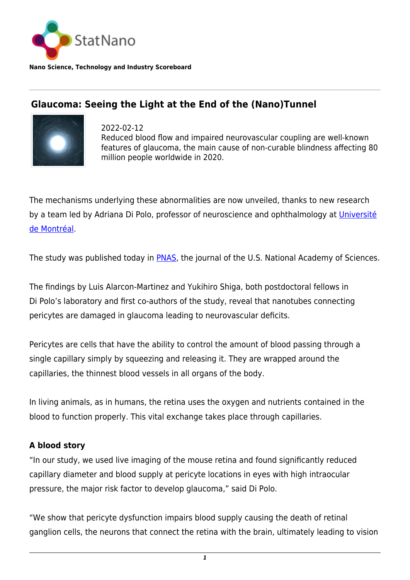

**Nano Science, Technology and Industry Scoreboard**

## **Glaucoma: Seeing the Light at the End of the (Nano)Tunnel**



2022-02-12 Reduced blood flow and impaired neurovascular coupling are well-known features of glaucoma, the main cause of non-curable blindness affecting 80 million people worldwide in 2020.

The mechanisms underlying these abnormalities are now unveiled, thanks to new research by a team led by Adriana Di Polo, professor of neuroscience and ophthalmology at [Université](https://www.umontreal.ca/) [de Montréal](https://www.umontreal.ca/).

The study was published today in **PNAS**, the journal of the U.S. National Academy of Sciences.

The findings by Luis Alarcon-Martinez and Yukihiro Shiga, both postdoctoral fellows in Di Polo's laboratory and first co-authors of the study, reveal that nanotubes connecting pericytes are damaged in glaucoma leading to neurovascular deficits.

Pericytes are cells that have the ability to control the amount of blood passing through a single capillary simply by squeezing and releasing it. They are wrapped around the capillaries, the thinnest blood vessels in all organs of the body.

In living animals, as in humans, the retina uses the oxygen and nutrients contained in the blood to function properly. This vital exchange takes place through capillaries.

## **A blood story**

"In our study, we used live imaging of the mouse retina and found significantly reduced capillary diameter and blood supply at pericyte locations in eyes with high intraocular pressure, the major risk factor to develop glaucoma," said Di Polo.

"We show that pericyte dysfunction impairs blood supply causing the death of retinal ganglion cells, the neurons that connect the retina with the brain, ultimately leading to vision